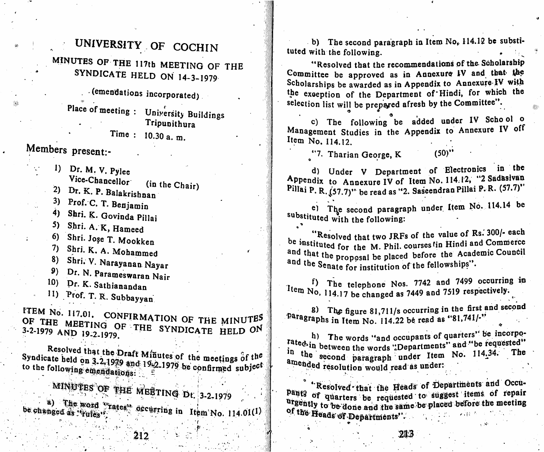# UNIVERSITY OF COCHIN

WINDIES OF THE 117th MEETING OF THE SYNDICATE HELD ON <sup>1</sup> 4-3-1979

 $\cdot$  (emendations incorporated)

Place of meeting : University Buildings **Tripunithura** 

Time : 10.30 a. m.

- Vice-Chancellor (in the Chair)
- 2) Dr. N. P. Balakrishnan
- $\frac{1}{2}$  Prof. C. I. Benjamin
- 4) Shri. K. Govinda Pillai
- 5) Sbri. A. K, Hameed
- 6) Shri. Jose T. Mookken
- 7) Shri. K, A. Mohammed
- 8) Shri. V. Narayanan Nayar
- Dr. N. Parameswaran Nair
- 10) Df. K. Sathianandan

^5" .

11) Prof. T. R. Subbayyan

ITEM No. 117.01. CONFIRMATION OF THE MINUTES OF THE MEETING OF THE SYNDICATE HELD ON

Syndicate held on 3.2-1979 and 19-2-1979 be confirmed subject amended resolution would read as under;<br>to the following emerications: <sup>2</sup> De confirmed subje $\mathbb{S}^n$ 

MINUTES OF THE MEETING Dt. 3-2-1979  $\mathbb{E}$  =  $\mathbb{E}$  +  $\mathbb{E}$  +  $\mathbb{E}$  +  $\mathbb{E}$  +  $\mathbb{E}$  +  $\mathbb{E}$  +  $\mathbb{E}$  +  $\mathbb{E}$  +  $\mathbb{E}$  +  $\mathbb{E}$  +  $\mathbb{E}$  +  $\mathbb{E}$  +  $\mathbb{E}$  +  $\mathbb{E}$  +  $\mathbb{E}$  +  $\mathbb{E}$  +  $\mathbb{E}$  +  $\mathbb{E}$  +  $\mathbb{E}$  + be changed as  $v_{\text{Eulles}}$  of  $v_{\text{S}}$  occurring in Item No. 114.01(1)

b) The second paragraph in Item No, 114.12 be substituted with the following.

"Resolved that the recommendations of the Scholarship Committee be approved as in Annexure IV and that the Scholarships be awarded as in Appendix to Annexure IV with the exception of the Department of Hindi, for which the selection list will be prepared afresh by the Committee".

c) The following be added under IV Scho ol o Management Studies in the Appendix to Annexure IV off Item No. 114.12.

Members present:-<br>
(50)  $\binom{1}{1}$  Dr. M. V. Pulse (50)  $\binom{50}{1}$  d) Under V Department of E I) Dr. M. V. Pylee (a) Under V Department of Electronics in the 1) Under V Department of Electronics in the 1 Appendix to Annexure IV of Item No. 114.12, "2 Sadasivan Pillai P. R. (57.7)" be read as "2. Saseendran Pillai P. R. (57.7)"

> ®1 The second paragraph under Item No. 114.14 be substituted with the following:

> "Resolved that two JRFs of the value of Rs. 300/- each be instituted for the M. Phil. courses tin Hindi and Commerce<br>and that the proposal be placed before the Academic Council  $t_{\text{max}}$  proposal be placed before the  $\sim$  $\frac{40}{100}$  (i.e. Senate for institution of the fellowships  $\cdot$

> $f$ ) The telephone Nos. 7742 and 7499 occurring in  $\frac{1}{\text{ term No}}$ , 114.17 be changed as 7449 and 7519 respectively.

> 8) The figure 81,711/s occurring in the first and second Paragraphs in Item No. 114.22 be read as "81,741/-"

 $\begin{array}{r} \text{3-3-1979.} \\ \text{10-3-1979.} \\ \text{11-397.} \\ \text{22-1979.} \end{array}$  The words "and occupants of quarters" be incorporated"<br>Resolved that the Draft Minutes of the meeting of the second paragraph under Item No. 114.34. The in the weapon the words "Departments" and several The the second paragraph under item No. 1142 .

> \*Resolved that the Heads of Departments and Occupants of quarters be requested to suggest items of repair urgently to be done and the same be placed before the meeting<br>of the Heads of Denomerators," <sup>1</sup> <sup>the</sup> Heads of Departments''.

212

 $\frac{1}{r}$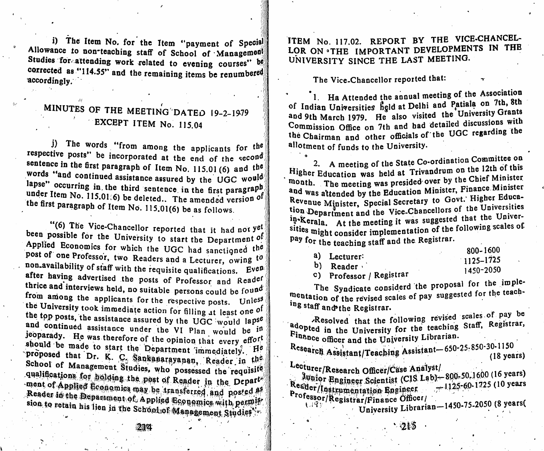i) The Item No. for the Item "payment of Special Allowance to non-teaching staff of School of Management Studies for. attending work related to evening courses accordingly as "11" and the remaining items be renumbered in a second stream of the second stream in the second stream of the second stream in the second stream in the second stream in the second stream in the second strea accordingly. Studies for attending work related to evening courses" be

## minutes of the MEETING DATED 19-2-1979 EXCEPT ITEM No. 115.04

 $\frac{1}{2}$ . The applicants for  $\frac{1}{2}$  $\mathbf{r}$  is the posts be incorporated at the end of the second.  $\frac{1}{3}$  Words "and continued escietaries" item No. 115.01 (6) and the words and continued assistance assured by the UGC would lapse" occurring in the third sentence in the first paragraph under Item No. 115.01.6) be deleted. The amended version of the first paragraph of Item No. 115.01(6) be as follows. The words "from among the applicants for the<br>
sentence in the first paragraph of Item No. 115.01 (6) and the<br>
words "and continued assistance assured by the UGC would<br>
lapse" occurring in the third sentence in the first p j) The words "from among the applicants for the

"(6) The Vice-Chancellor reported that it had not yet been possible for the University to start the Department of Applied Economics for which the UGC had sanctioned the post of one Professor, two Readers and a Lecturer, owing to non-availability of staff with the requisite qualifications. Even  $\frac{1}{2}$  after having admitting the requisite qualifications. Even thrice and integritised the posts of Professor and Reader thrice and interviews held, no suitable persons could be found from among the applicants for the respective posts. Unless the University took immediate action for filling at least one of the top posts, the assistance assured by the UGC would lapse details are in the value of the value of the value of the value of the VI Plan would be in the VI Plan would be in the VI Plan would be in the VI Plan would be in the VI Plan would be in the VI Plan would be in the VI Pla the University took immediate action for filling at least one of<br>the top posts, the assistance assured by the UGC would lapse<br>and continued assistance under the VI Plan would be in<br>jeoparady. He was therefore of the opinio and continued assistance under the VI Plan would be in<br>jeoparady. He was therefore of the opinion that every effort<br>should be made to start the Department immediately. He<br>proposed that Dr. K. C. Sankanarayanan, Reader in t School of Management Studies, who possessed the requisite<br>qualifications for holding the post of Reader in the Depart ment of Applied Economics may be transferred and posted as , permist Studies and achoolic Management Studies and

ITEM No. 117.02. REPORT BY THE VICE-CHANCEL-LOR ON **THE IMPORTANT DEVELOPMENTS IN THE** UNIVERSITY SINCE THE LAST MEETING.

The Vice-Chancellor reported that:

' 1. Ha Attended the annual meeting of the Association of Indian Universities held at Delhi and Patiala on 7th, 8th and 9th March 1979. He also visited the University Grants Commission Office on 7th and had detailed discussions with the Chairman and other officials of the UGC regarding the

allotment of funds to the University.<br>
2. A meeting of the State Co-ordination Committee on 2. A meeting of the State Co-ordination Committee 2.<br>Higher Education was held at Trivandrum on the 12th of this<br>month. The meeting ruse presided over by the Chief Minister mouth. The meeting was presided over by the Chief Minister.<br>and was attended by the Education Minister, Finance Minister. was attended by the Education Million, Thigher Education Department and the Vice-Chancellors of the Universities in-Kerala. At the meeting it was suggested that the Universities might consider implementation of the following scales of pay for the teaching staff and the Registrar.

|                              | 800-1600      |
|------------------------------|---------------|
| a) Lecturer:                 | $1125 - 1725$ |
| b) Reader                    | 1450-2050     |
| <b>Professor</b> / Registrar |               |

The Syndicate considerd the proposal for the imple-The Syndicate consider the proposaled for the teachmentation of the revised scales of pay suggested for the ing staff and the Registrar.

Resolved that the following revised scales of pay be Registrar. adopted in the University for the teaching Staff. Registrar,<br>Final  $P_{\text{inance}}$  m the University for the \*<sup>450</sup>g officer and the University Librarian.

kcsearch Assistant/Teaching Assistant-650-25-850-30-1150-4150-(18 years)

**Experience Officer/Case Analysty** 

'

I

Whior Engineer Scientist (CIS Lab) - 800-50.1600 (16 years)<br>Research 1725 (10 years) Professor/Registrar/Finance Officer/  $-1125 - 60 - 1725$  (10 years

University Librarian-1450-75-2050 (8 years)

 $-215$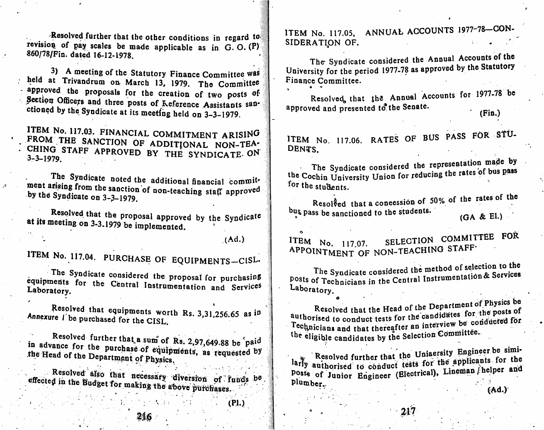Resolved further that the other conditions in regard to revision of pay scales be made applicable as in G.O. (P) 860/78/Fin. dated 16-12-1978.

3) A meeting of the Statutory Finance Committee was held at Trivandrum on March 13, 1979. The Committee approved the proposals for the creation of two posts of Section Officers and three posts of Keference Assistants sanctioned by the Syndicate at its meeting held on 3-3-1979.

ITEM No. 117.03. FINANCIAL COMMITMENT ARISING FROM THE SANCTION OF ADDITIONAL NON-TEA-CHING STAFF APPROVED BY THE SYNDICATE ON  $3 - 3 - 1979$ .

The Syndicate noted the additional financial commitment anising from the sanction of non-teaching staff approved by the Syndicate on  $3-3-1979$ .

Resolved that the proposal approved by the Syndicate at its meeting on 3-3.1979 be implemented.

 $(Ad.)$ 

 $(PI.)$ 

ITEM No. 117.04. PURCHASE OF EQUIPMENTS-CISL.

The Syndicate considered the proposal for purchasing equipments for the Central Instrumentation and Services Laboratory.

Resolved that equipments worth Rs. 3,31,256.65 as in Annexure I be purchased for the CISL.

Resolved further that a sum of Rs. 2,97,649.88 be paid in advance for the purchase of equipments, as requested by the Head of the Department of Physics.

Resolved also that necessary diversion of funds be effected in the Budget for making the above purchases.

ITEM No. 117.05, ANNUAL ACCOUNTS 1977-78-CON-SIDERATION OF.

The Syndicate considered the Annual Accounts of the University for the period 1977-78 as approved by the Statutory Finance Committee.

Resolved, that the Annual Accounts for 1977-78 be approved and presented to the Senate.  $(Fin.)$ 

ITEM No. 117.06. RATES OF BUS PASS FOR STU-DENTS.

The Syndicate considered the representation made by the Cochin University Union for reducing the rates of bus pass for the students.

Resolved that a concession of 50% of the rates of the bus pass be sanctioned to the students.  $(GA & EI.)$ 

SELECTION COMMITTEE FOR ITEM No. 117.07. APPOINTMENT OF NON-TEACHING STAFF.

The Syndicate considered the method of selection to the posts of Technicians in the Central Instrumentation & Services Laboratory.

Resolved that the Head of the Department of Physics be authorised to conduct tests for the candidates for the posts of Technicians and that thereafter an interview be conducted for the eligible candidates by the Selection Committee.

Resolved further that the Uniaersity Engineer be similarly authorised to conduct tests for the applicants for the posts of Junior Engineer (Electrical), Lineman helper and plumber.

 $(Ad.)$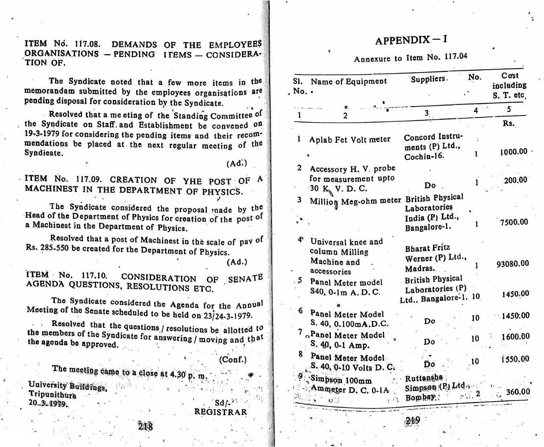ITEM No. 117.08. DEMANDS OF THE EMPLOYEES  $\overline{A}$  APPENDIX - I ORGANISATIONS - PENDING ITEMS - CONSIDERA-TION OF.

The Syndicate noted that a few more items in the memorandam submitted by the employees organisations are pending disposal for consideration by the Syndicate.

Resolved that a me eting of the Standing Committee of the Syndicate on Staff and Establishment be convened on 19-3-1979 for considering the pending items and their recom mendations be placed at the next regular meeting of the Syndieate.

ITEM No. 117.09. CREATION OF YHE POST OF A MACHINEST IN THE DEPARTMENT OF PHYSICS.

The Syndicate considered the proposal made by the Head of the Department of Physics for creation of the post of a Machinest in the Department of Physics.

Resolved that a post of Machinest in the scale of pav of Rs. 285-550 be created for the Department of Physics.

ITEM NO. 117.10. CONSIDERATION OF SENATE AGENDA QUESTIONS, RESOLUTIONS ETC

The Syndicate considered the Agenda for the Annual

the members of the Syndicate for answering / moving and that the agenda be approved. Meeting of the Senate scheduled to be held on  $23/24-3-1979$ .<br>Resolved that the questions / resolutions be allotted to

218

I de meeting came to a close at 4.30 p, m University Buildings, Tripunithura 20\_3L1979. 11188, 2011 - 20 - 30 - 2012 - 2012 - 2013 - 2014 - 31 - 22 . Sd/--

REGISTRAR

### Annexure to Item No. 117.04

| ems in the<br>isations are        | Sl. Name of Equipment<br>$\Delta$ No. $\cdot$                                      | Suppliers.                                                           | No.               | Cost<br>including<br>S. T. etc. |
|-----------------------------------|------------------------------------------------------------------------------------|----------------------------------------------------------------------|-------------------|---------------------------------|
| e.                                | $\mathbf{0}, \ldots$<br>Ł<br>$\mathbf{2}$                                          | 3 <sub>l</sub>                                                       | 4 <sup>2</sup>    | 5                               |
| ommittee of<br>onvened on         |                                                                                    |                                                                      |                   | Rs.                             |
| heir recom-<br>ting of the        | $\mathbf{l}$<br>Aplab Fet Volt meter                                               | Concord Instru-<br>ments (P) Ltd.,<br>Cochin-16.                     |                   | 1000.00                         |
| (Ad.)<br>$DST$ $OF$ $A$<br>(SICS. | 2 Accessory H. V. probe<br>for measurement upto<br>30 K <sub>N</sub> V. D. C.      | Do                                                                   |                   | 200.00                          |
| ade by the<br>the post of         | Million Meg-ohm meter British Physical<br>$\mathbf{3}$                             | Laboratories<br>India (P) Ltd.,<br>Bangalore-1.                      | 1                 | 7500.00                         |
| le of pay of<br>ics.<br>(Ad.)     | 4<br>Universal knee and<br>column Milling<br>Machine and<br>accessories            | <b>Bharat Fritz</b><br>Werner (P) Ltd.,<br>Madras.                   |                   | 93080.00                        |
| SENATE<br>the Annual              | Panel Meter model<br>S40, 0.1m A. D. C.                                            | <b>British Physical</b><br>Laboratories (P)<br>Ltd., Bangalore-1. 10 |                   | 1450.00                         |
| 24-3-1979.                        | <sup>6</sup> Panel Meter Model<br>S. 40, 0.100mA.D.C.                              | Do                                                                   | 10 <sub>1</sub>   | 1450.00                         |
| allotted to<br>ng and that        | 7 Panel Meter Model<br>S. 40, 0-1 Amp.                                             | Do                                                                   | 10 <sup>°</sup>   | 1600.00                         |
| (Conf.)                           | 8 Panel Meter Model<br>S. 40, 0-10 Volts D. C.                                     | D0.                                                                  | 10                | 1550.00                         |
| 34135                             | <b>Simpson 100mm</b><br>Ammeter D. C. 0-1A Simpson (P.) Ltd.,<br>$O(1 + \epsilon)$ | · Ruttansha<br>Bombay.                                               | $_{\rm{col}}$ , 2 | O(1.1)<br>$\frac{1}{2}$ 360.00  |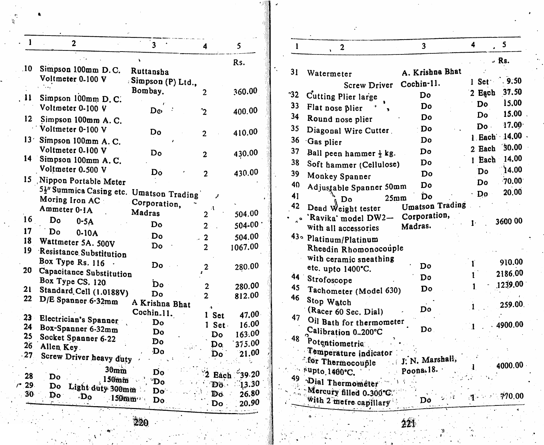| 1               | $\overline{2}$                          | $\overline{\mathbf{3}}$      | 4                  | 5            |
|-----------------|-----------------------------------------|------------------------------|--------------------|--------------|
|                 |                                         |                              |                    | Rs.          |
| .10             | Simpson 100mm D.C.                      | Ruttansha                    |                    |              |
|                 | Voltmeter 0-100 V                       | : Simpson (P) Ltd.,          |                    |              |
|                 |                                         | Bombay.                      | 2                  | 360.00       |
| 11              | Simpson 100mm D.C.                      |                              |                    |              |
|                 | Voltmeter 0-100 V                       | Dø                           | $\mathbf{\dot{2}}$ | 400.00       |
| 12              | Simpson 100mm A.C.                      |                              |                    |              |
|                 | Voltmeter 0-100 V                       | D٥                           | $\overline{2}$     | 410.00       |
| 13 <sup>2</sup> | Simpson 100mm A.C.                      |                              |                    |              |
|                 | Voltmeter 0-100 V                       | D٥                           | $\overline{2}$     | 430.00       |
| 14              | Simpson 100mm A.C.                      |                              |                    |              |
|                 | Voltmeter 0.500 V                       | Do                           | $\overline{2}$     | 430.00       |
| 15              | Nippon Portable Meter                   |                              |                    |              |
|                 | 5}" Summica Casing etc. Umatson Trading |                              |                    |              |
|                 | Moring Iron AC:                         | Corporation,                 |                    |              |
|                 | Ammeter 0-1A                            | Madras                       | $\overline{2}$     | 504.00       |
| 16              | Do<br>$0-5A$                            | Do                           |                    |              |
| 17              | Do<br>$0-10A$                           |                              | $\overline{2}$     | 504-00       |
| 18              | Wattmeter 5A. 500V                      | Do                           | $\mathbf{2}$       | 504.00       |
| 19              | Resistance Substitution                 | Do                           | $\overline{2}$     | 1067.00      |
|                 | Box Type Rs. 116                        |                              |                    |              |
| 20              | Capacitance Substitution                | Do                           | 2                  | 280.00       |
|                 | Box Type CS. 120                        |                              |                    |              |
| 21              | Standard Cell (1.0188V)                 | Ď٥                           | $\mathbf{2}$       | 280.00       |
| 22              | D/E Spanner 6-32mm                      | Do                           | $\overline{2}$     | 812.00       |
|                 |                                         | A Krishna Bhat<br>Cochin.11. |                    |              |
| $23 -$          | Electrician's Spanner                   | Do                           | 1 Set              | 47.00        |
| 24              | Box-Spanner 6-32mm                      | Do                           | Set.<br>1          | 16.00        |
| 25              | Socket Spanner 6-22                     | Do                           | Do                 | 163.00       |
| 26              | Allen Key.                              | Do                           | Do.                | 375.00       |
| $\cdot$ 27      | Screw Driver heavy duty                 |                              | Do                 | 21.00        |
| 28              | 30 <sub>mm</sub><br>Do                  | Do                           | 2 Each             | $^{2}$ 39.20 |
| 29.             | 150mm<br>Do                             | "Do                          | Dö.                | 13.30        |
| 30              | Light duty 300mm<br>Do                  | Do                           | Do                 | 26.80        |
|                 | $\mathbf{D}_0$<br>$150$ mm              | Do.                          | <b>Do</b>          | 20.90        |

| $\mathbf{1}$     | $\overline{2}$                               | $\overline{\mathbf{3}}$ | 4      | 5             |
|------------------|----------------------------------------------|-------------------------|--------|---------------|
|                  |                                              |                         |        | $-$ Rs.       |
| 31               | Watermeter                                   | A. Krishna Bhat         |        |               |
|                  | <b>Screw Driver</b>                          | Cochin-11.              | 1 Set  | $-9.50$       |
| 32               | Cutting Plier large                          | Do                      | 2 Each | 37.50         |
| 33               | Flat nose plier                              | Do                      | Do     | 15.00         |
| 34               | Round nose plier                             | Do                      | Do     | 15.00         |
| 35               | Diagonal Wire Cutter.                        | Do                      | Do -   | 17.00         |
| 36               | Gas plier                                    | D٥                      |        | 1. Each 14.00 |
| 37               | Ball peen hammer $\frac{1}{2}$ kg.           | Do                      | 2 Each | 30.00         |
| 38               | Soft hammer (Cellulose)                      | Do                      | 1 Each | 14.00         |
| 39               | Monkey Spanner                               | Do                      | Do     | ነ4.00         |
| 40               | Adjustable Spanner 50mm                      | Do                      | Do.    | $\cdot 70.00$ |
| 41               | 25 <sub>m</sub>                              | <b>Do</b>               | Do     | 20,00         |
| 42               | D٥<br>Dead Weight tester                     | <b>Umatson Trading</b>  |        |               |
| $\ddot{\bullet}$ | 'Ravika' model DW2-                          | Corporation,            |        |               |
|                  | with all accessories                         | Madras.                 | Ŀ      | 3600 00       |
|                  | 43 <sup>°</sup> Platinum/Platinum            |                         |        |               |
|                  | Rheedin Rhomonocouple                        |                         |        |               |
|                  | with ceramic sneathing                       |                         | Ŧ      | 910.00        |
|                  | etc. upto 1400°C.                            | Do                      | 1      | 2186.00       |
| 44               | Strofoscope                                  | Do                      |        | 1239.00       |
| 45               | Tachometer (Model 630)                       | Do                      | 1      |               |
| 46               | Stop Watch                                   |                         |        | 259.00.       |
| 47               | (Racer 60 Sec. Dial)                         | Do                      |        |               |
|                  | Oil Bath for thermometer                     | Do.                     |        | 4900.00       |
| 48               | Calibration 0-200°C                          |                         |        |               |
|                  | Potentiometric                               |                         |        |               |
|                  | Temperature indicator                        | J. N. Marshall,         |        |               |
|                  | for Thermocouple<br>$^{\circ}$ supto 1400°C. | Poona.18.               |        | 4000.00       |
|                  | <sup>49</sup> Dial Thermometer               |                         |        |               |
|                  | Mercury filled 0.300°C.                      |                         |        |               |
|                  | with 2 metre capillary                       | Do                      |        | 770.00        |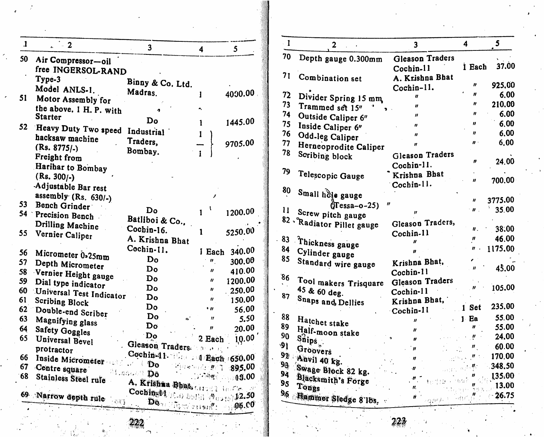| $\mathbf{I}$    | $\overline{2}$           | 3                                               | 4                                                              | 5                                  |
|-----------------|--------------------------|-------------------------------------------------|----------------------------------------------------------------|------------------------------------|
| 50              | Air Compressor-oil       |                                                 |                                                                |                                    |
|                 | free INGERSOL-RAND       |                                                 |                                                                |                                    |
|                 | Type-3                   | Binny & Co. Ltd.                                |                                                                |                                    |
|                 | Model ANLS-1.            | Madras.                                         | I                                                              | 4000.00                            |
| 51              | Motor Assembly for       |                                                 |                                                                |                                    |
|                 | the above. 1 H. P. with  |                                                 |                                                                |                                    |
|                 | <b>Starter</b>           | Do                                              | 1                                                              | 1445.00                            |
| 52              | Heavy Duty Two speed     | Industrial                                      |                                                                |                                    |
|                 | hacksaw machine          | Traders,                                        | 1                                                              |                                    |
|                 | $(Rs. 8775/-)$           | Bombay.                                         |                                                                | 9705.00                            |
|                 | Freight from             |                                                 |                                                                |                                    |
|                 | Harihar to Bombay        |                                                 |                                                                |                                    |
|                 | (Rs. 300/-)              |                                                 |                                                                |                                    |
|                 | Adjustable Bar rest      |                                                 |                                                                |                                    |
|                 | assembly $(Rs. 630/-)$   |                                                 |                                                                |                                    |
| 53              | Bench Grinder            |                                                 |                                                                |                                    |
| 54 <sup>-</sup> | Precision Bench          | Do                                              | 1                                                              | 1200.00                            |
|                 | Drilling Machine         | Batliboi & Co.,                                 |                                                                |                                    |
| 55              | Vernier Caliper          | Cochin-16.                                      | 1                                                              | 5250.00                            |
|                 |                          | A. Krishna Bhat                                 |                                                                |                                    |
| 56              | Micrometer 0.25mm        | Cochin-11.                                      | 1 Each                                                         | 340.00                             |
| 57              | Depth Micrometer         | Do                                              | $\boldsymbol{\theta}_{\perp}$                                  | 300.00                             |
| 58              | Vernier Height gauge     | Do                                              | $\boldsymbol{\prime}$                                          | 410.00                             |
| 59              | Dial type indicator      | Do                                              | "                                                              | 1200.00                            |
| 60              | Universal Test Indicator | Do                                              | n                                                              | 250.00                             |
| 61              | <b>Scribing Block</b>    | Do                                              | $\boldsymbol{\eta}$                                            | 150.00                             |
| 62              | Double-end Scriber       | Do                                              | , "                                                            | 56.00                              |
| 63              | Magnifying glass         | Do<br>$\boldsymbol{c_3}$                        | $\boldsymbol{\eta}$                                            | 5.50                               |
| 64              | Safety Goggles           | Do                                              | $\boldsymbol{H}$                                               | 20.00                              |
| 65              | Universal Bevel          | $\mathbf{D}$                                    | 2 Each                                                         | 10.00                              |
|                 | protractor               | Gleason Traders.                                | $\mathbb{S}(\mathbf{D}^{\infty},\mathbf{A}^{\top},\mathbf{p})$ |                                    |
| 66              | Inside Micrometer        | Cochin 1. Let 1 Each 1650.00                    |                                                                |                                    |
| 67              | Centre square            | ŧ<br>Do<br>وديانا                               |                                                                | ਾ <i>ਂ: ‼</i> ੋ 895. <sup>00</sup> |
| 68              | Stainless Steel rule     | $\mathbf{D}^{0,1}$ , and all $\mathbf{D}^{0,1}$ | $\sim$ and $\eta$                                              | 13.00                              |
|                 |                          | A. Krishaa Bhats Grade Harding                  |                                                                |                                    |
|                 | 69 Narrow depth rule     | Coching 14 10 ball 14 0 10 12.50                |                                                                |                                    |
|                 |                          | Downtown and the Downtown                       |                                                                | $-06.00$                           |

| $\blacksquare$ | $\overline{2}$             | $\overline{\mathbf{3}}$                                  | 4                           | 5        |
|----------------|----------------------------|----------------------------------------------------------|-----------------------------|----------|
| 70             | Depth gauge 0.300mm        | Gleason Traders                                          |                             |          |
|                |                            | Cochin-11                                                | 1 Each                      | 37.00    |
| 71             | Combination set            | A. Krishna Bhat                                          |                             |          |
|                |                            | Cochin-11.                                               | "                           | 925,00   |
| 72             | Divider Spring 15 mm       | n                                                        | Ħ                           | 6.00     |
| 73             | Trammed set 15"            | "                                                        | $\boldsymbol{\prime\prime}$ | 210.00   |
| 74             | Outside Caliper 6"         | $\boldsymbol{\prime}$                                    | $\boldsymbol{\mathit{ii}}$  | 6.00     |
| 75             | Inside Caliper 6"          | $\boldsymbol{u}$                                         | n                           | 6,00     |
| 76             | Odd-leg Caliper            | $\boldsymbol{H}$                                         | "                           | 6,00     |
| 77             | Herneoprodite Caliper      | $\boldsymbol{H}$                                         | $\boldsymbol{n}$ .          | 6.00     |
| 78             | Scribing block             | Gleason Traders                                          |                             |          |
|                |                            | Cochin-11.                                               | n                           | 24.00    |
| 79             |                            | Krishna Bhat                                             |                             |          |
|                | Telescopic Gauge           | Cochin-11.                                               | n                           | 700.00   |
| 80             | Small hole gauge           |                                                          |                             |          |
|                |                            | $\boldsymbol{r}$                                         | n                           | 3775.00  |
| 11             | $\sqrt{\text{ressa}-o-25}$ |                                                          | $\boldsymbol{n}$            | 35.00    |
|                | Screw pitch gauge          |                                                          |                             |          |
|                | 82 Radiator Pillet gauge   | Gleason Traders,                                         | "                           | 38.00    |
| 83             |                            | Cochin-11                                                | n                           | 46.00    |
| 84             | Thickness gauge            |                                                          | ,,                          | 1175.00  |
| 85             | Cylinder gauge             |                                                          |                             |          |
|                | Standard wire gauge        | Krishna Bhat.                                            |                             | 45.00    |
| 86             |                            | Cochin-11                                                |                             |          |
|                | Tool makers Trisquare      | Gleason Traders                                          |                             | 105.00   |
| 87             | 45 & 60 deg.               | Cochin-11                                                |                             |          |
|                | Snaps and Dellies          | Krishna Bhat,                                            | 1 Set                       | 235.00   |
| 88             |                            | Cochin-11                                                |                             | 55.00    |
| 89             | Hatchet stake              | $\boldsymbol{\mathit{ii}}$                               | 1 Ea<br>"                   |          |
| 90             | Half-moon stake            | II                                                       |                             | 55.00    |
|                | $S_{\text{Nips}}$          | H                                                        | ņ                           | 24.00    |
| 91             | Groovers                   | $\boldsymbol{\mathit{ii}}$                               | $\theta_{\infty}$           | 60.00    |
|                | 92 Anvil 40 kg.            | 11                                                       | $\boldsymbol{H}$ .          | 170.00   |
| 93             | Swage Block 82 kg.         | -11                                                      | $\mathbb{R}^{n \times n}$ . | 348.50   |
| 94             | Blacksmith's Forge         |                                                          |                             | 135.00   |
| 9 <sub>5</sub> | Tongs                      |                                                          |                             | 13.00    |
|                | 96 Hammer Sledge 8 lbs.    | ń<br>$\delta_{\rm{N}}\neq\mu\lambda_{\rm{N}}\tilde{F}$ . | - e€t≮                      | $-26.75$ |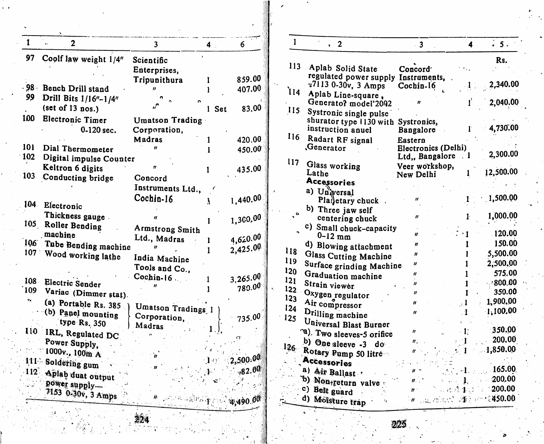| 1                                    | 2                       | $\overline{\mathbf{3}}$ | 4     | 6              |
|--------------------------------------|-------------------------|-------------------------|-------|----------------|
| 97                                   | Coolf law weight 1/4"   | Scientific              |       |                |
|                                      |                         | Enterprises,            |       |                |
|                                      |                         | Tripunithura            | L     | 859.00         |
| $98 -$                               | Bench Drill stand       |                         |       | 407.00         |
| 99                                   | Drill Bits 1/16"-1/4"   |                         |       |                |
|                                      | (set of 13 nos.)        |                         | 1 Set | 83.00          |
| 100                                  |                         |                         |       |                |
|                                      | <b>Electronic Timer</b> | Umatson Trading         |       |                |
|                                      | 0-120 sec.              | Corporation,            |       |                |
|                                      |                         | Madras                  | 1     | 420.00         |
| 101                                  | Dial Thermometer        |                         | l     | 450.00         |
| 102                                  | Digital impulse Counter |                         |       |                |
|                                      | Keltron 6 digits        |                         | 1     | 435.00         |
|                                      | 103 Conducting bridge   | Concord                 |       |                |
|                                      |                         | Instruments Ltd.,       |       |                |
|                                      |                         | Cochin-16               | Ã.    | 1,440.00       |
| $104 -$                              | Electronic              |                         |       |                |
|                                      | Thickness gauge.        |                         |       | 1,300.00       |
|                                      | 105 Roller Bending      | Armstrong Smith         | 1     |                |
|                                      | machine                 | Ltd., Madras            |       | 4,620.00       |
| 106                                  | Tube Bending machine    |                         | ı     |                |
|                                      | 107 Wood working lathe  |                         | 1     | 2,425.00       |
|                                      |                         | India Machine           |       |                |
|                                      |                         | Tools and Co.,          |       |                |
| 108                                  | Electric Sender         | Cochin- $16$ .          | 1     | 3,265.00       |
| 109                                  | Variac (Dimmer stat).   |                         |       | 780.00         |
| $\mathbf{v}_{\mathbf{d},\mathbf{r}}$ |                         |                         |       |                |
|                                      | (a) Portable Rs. 385    | Umatson Tradings 1      |       |                |
|                                      | (b) Panel mounting      | Corporation,            |       | 735.00         |
|                                      | type Rs. 350            | Madras                  |       |                |
| 110                                  | IRL, Regulated DC       |                         |       |                |
|                                      | Power Supply,           |                         |       |                |
|                                      | 1000v., 100m A          |                         |       |                |
|                                      | 111 Soldering gum       |                         |       | 2,500.00       |
|                                      | 112 Aplab duat output   |                         |       | .82.00         |
|                                      | power supply-           |                         |       |                |
|                                      | 7153 0-30v, 3 Amps      |                         |       |                |
|                                      |                         | ik aşiliya              |       | $T = 4,490.00$ |

| $\mathbf{I}$ | $\overline{2}$                               | 3 <sub>1</sub>                                                                                  | 4                  | $\frac{1}{2}$ 5.    |
|--------------|----------------------------------------------|-------------------------------------------------------------------------------------------------|--------------------|---------------------|
| 113          |                                              |                                                                                                 |                    | Rs.                 |
|              | Aplab Solid State                            | Concord <sup>.</sup>                                                                            |                    |                     |
|              | regulated power supply<br>7113 0-30v, 3 Amps | Instruments,                                                                                    |                    | 2,340.00            |
| 114          | Aplab Line-square,                           | Cochin-16                                                                                       |                    |                     |
|              | Generatof model'2092                         |                                                                                                 | ť                  | 2,040.00            |
| 115          | Systronic single pulse                       |                                                                                                 |                    |                     |
|              | shurator type 1130 with                      | Systronics,                                                                                     |                    |                     |
|              | instruction anuel                            | Bangalore                                                                                       | T.                 | 4,730.00            |
| 116          | Radart RF signal                             | Eastern                                                                                         |                    |                     |
|              | Generator.                                   | <b>Electronics (Delhi)</b>                                                                      |                    | 2,300.00            |
| 117          |                                              | Ltd,, Bangalore                                                                                 | . 1                |                     |
|              | Glass working<br>Lathe                       | Veer workshop,<br>New Delhi                                                                     |                    | 12,500.00           |
|              | <b>Accessories</b>                           |                                                                                                 |                    |                     |
|              | a) Unwersal                                  |                                                                                                 |                    |                     |
|              | Planetary chuck                              | n                                                                                               |                    | 1,500.00            |
|              | b) Three jaw self                            |                                                                                                 |                    |                     |
|              | centering chuck                              | "                                                                                               | $\mathbf{1}$       | 1,000.00            |
|              | c) Small chuck-capacity                      | "                                                                                               | $\cdot$ 1 $\cdot$  | 120.00              |
|              | $0-12$ mm                                    | $\boldsymbol{n}$                                                                                | 1                  | 150.00              |
| 118          | d) Blowing attachment                        | n                                                                                               |                    | 5,500.00            |
| 119          | Glass Cutting Machine                        | "                                                                                               | ı<br>$1\,$         | 2,500.00            |
| 120          | Surface grinding Machine                     |                                                                                                 |                    | 575.00              |
| 121          | Graduation machine                           | 11<br>11                                                                                        | 1<br>1             | 4800,00             |
| 122          | Strain viewer                                | $\boldsymbol{\prime\prime}$                                                                     | 1                  | 350.00              |
| 123          | Oxygen regulator                             | $\boldsymbol{\mathcal{U}}$                                                                      | $\mathbf{1}$       | 1,900.00            |
| 124          | Air compressor                               | 11                                                                                              | $\cdot$ 1          | 1,100.00            |
| 125          | Drilling machine                             |                                                                                                 |                    |                     |
|              | Universal Blast Burner                       | "                                                                                               | $\cdot$ 17 $\cdot$ | 350.00              |
|              | <sup>og</sup> ). Two sleeves-5 orifice       | "                                                                                               | $\pm 1$            | 200.00              |
| 126          | b) One sleeve -3 do                          |                                                                                                 | $\sim 1$ .         | 1,850.00            |
|              | Rotary Pump 50 litre<br>Accessories          |                                                                                                 |                    |                     |
|              | a) Air Ballast .                             | "                                                                                               |                    | $-1$ and 165.00.    |
|              | b) Non-return valve                          | n.,                                                                                             |                    | 1.200.00            |
|              | c) Belt guard                                | n ·                                                                                             |                    | $-0.11$ 1 $-200.00$ |
|              | d) Moisture trap                             | $\boldsymbol{w}$ and the contract of $\boldsymbol{w}$ and $\boldsymbol{w}$ and $\boldsymbol{w}$ |                    |                     |
|              |                                              |                                                                                                 |                    |                     |

ŗ,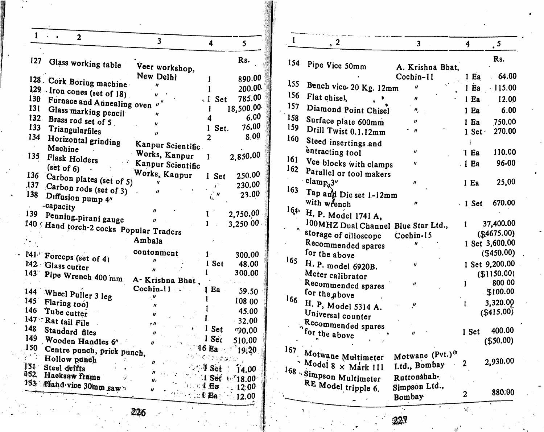| 1                           | 2                                       | 3                                   | $\overline{\mathbf{4}}$ | 5             |
|-----------------------------|-----------------------------------------|-------------------------------------|-------------------------|---------------|
| 127                         |                                         |                                     |                         | Rs.           |
|                             | Glass working table                     | Veer workshop,                      |                         |               |
|                             |                                         | New Delhi                           | I                       | 890.00        |
|                             | 128 Cork Boring machine                 | "                                   | 1                       | 200.00        |
| 130                         | 129 Iron cones (set of 18)              |                                     | . I Set                 | 785.00        |
| 131                         | Furnace and Annealing oven              |                                     |                         | 18,500.00     |
| 132 <sub>1</sub>            | Glass marking pencil                    | "                                   | 1                       | 6.00          |
|                             | Brass rod set of 5.                     | $\boldsymbol{u}$                    | 4                       | 76.00         |
| 133                         | Triangularfiles                         | $\boldsymbol{u}$                    | 1 Set.                  |               |
| 134                         | Horizontal grinding                     |                                     | 2                       | 8.00          |
|                             | Machine                                 | Kanpur Scientific.                  |                         |               |
| 135                         | Flask Holders                           | Works, Kanpur                       | 1                       | 2,850.00      |
|                             | (set of 6)                              | Kanpur Scientific                   |                         |               |
| 136                         | Carbon plates (set of 5)                | Works, Kanpur                       | 1 Set                   | 250.00        |
| ,137                        | Carbon rods (set of 3)                  |                                     | Ė                       | 230.00        |
| 138                         | Diffusion pump 4"                       | $\boldsymbol{u}$                    | $^{\prime}$ n           | 23.00         |
|                             | .capacity                               |                                     |                         |               |
| 139                         |                                         | $\boldsymbol{\prime\prime}$         | 1                       | 2,750.00      |
|                             | Penning-pirani gauge                    | "                                   | ı                       | 3,250 00      |
|                             | 140 SHand torch-2 cocks Popular Traders |                                     |                         |               |
|                             |                                         | Ambala                              |                         |               |
|                             | 141 Forceps (set of 4)                  | contonment                          | $1 \cdot$               | 300.00        |
|                             | 142 Glass cutter                        | "                                   | 1 Set                   | 48.00         |
|                             |                                         |                                     | L                       | 300.00        |
|                             | 143 Pipe Wrench 400 mm                  | A-Krishna Bhat.                     |                         |               |
|                             |                                         | $Cochin-11$                         | 1 Ea                    | 59.50         |
| 145                         | 144 Wheel Puller 3 leg                  |                                     | 1                       | 108 00        |
| 146                         | Flaring tool                            | $\boldsymbol{\eta}$                 | 1                       | 45.00         |
|                             | Tube cutter                             | 'n                                  | L                       | $-32.00$      |
| 148                         | 147 Rat tail File                       | e IF                                | 1 Set                   |               |
|                             | Standard files                          | "                                   |                         | 90.00         |
| 150                         | 149 Wooden Handles 6"                   | 11                                  | l Sét                   | 510.00        |
| $\mathcal{L}^{\mathcal{A}}$ | Centre punch, prick punch,              |                                     | 16 <sub>Ba</sub>        | 19.20         |
|                             | Hollow punch                            | $\boldsymbol{H}$                    | $\mathcal{O}(2\pi)$ and |               |
| 151<br>152,                 | Steel drifts                            | 'n                                  | $\sim$ 1 Set            | 14.00         |
|                             | Hacksaw frame                           | 11.                                 | i Set                   | $10^{7}18.00$ |
|                             | 153 : Hand vice 30mm saw                | $\log 4$ Bar<br>$\boldsymbol{\eta}$ |                         | $\sim 12.00$  |
|                             |                                         | The scied Bay                       |                         | $\sim$ 12.00  |

| 1   | $\sqrt{2}$                               | $\overline{\mathbf{3}}$     | 4               | $\cdot$ 5             |
|-----|------------------------------------------|-----------------------------|-----------------|-----------------------|
| 154 | Pipe Vice 50mm                           | A. Krishna Bhat,            |                 | Rs.                   |
|     |                                          | Cochin-11                   | $1$ Ea          | 64.00                 |
| 155 | Bench vice-20 Kg. 12mm                   | n                           | $1$ Ea          | 115.00                |
| 156 | Flat chisel,                             | $\boldsymbol{\prime\prime}$ | 1 Ea            | 12.00                 |
| 157 | Diamond Point Chisel                     | n,                          | l Ea            | 6.00                  |
| 158 | Surface plate 600mm                      | "                           | 1 Ea            | 750.00                |
| 159 | Drill Twist 0.1.12mm                     | $\boldsymbol{H}$            | 1 Set           | 270.00                |
| 160 | Steed insertings and                     |                             | ţ               |                       |
|     | entracting tool                          | $\boldsymbol{H}$            | 1 <sub>Ea</sub> | 110.00                |
| 161 | Vee blocks with clamps                   | "                           | i Ea            | 96-00                 |
| 162 | Parallel or tool makers                  |                             |                 |                       |
|     | clamp.3"                                 | $\boldsymbol{v}$            | i Ea            | 25,00                 |
| 163 | Tap and Die set 1-12mm                   |                             |                 |                       |
|     | with wrench                              | "                           | $-1$ Set        | 670.00                |
| 164 | H. P. Model 1741 A.                      |                             |                 |                       |
|     | 100MHZ Dual Channel Blue Star Ltd.,      |                             | 1               | 37,400.00             |
|     | storage of cilloscope                    | Cochin-15                   |                 | (\$4675.00)           |
|     | Recommended spares                       |                             |                 | I Set 3,600.00        |
| 165 | for the above                            |                             |                 | ( \$450.00)           |
|     | H. P. model 6920B.                       | "                           |                 | 1 Set 9,200.00        |
|     | Meter calibrator                         | $\boldsymbol{H}$            | 1               | (\$1150.00)<br>800 00 |
|     | Recommended spares<br>for the above      |                             |                 | \$100.00              |
| 166 |                                          | $\boldsymbol{''}$           | Ł               | 3,320.00              |
|     | H. P, Model 5314 A.<br>Universal counter |                             |                 | $($ \$415.00)         |
|     | Recommended spares                       |                             |                 |                       |
|     | <sup>'for</sup> the above                | H                           | 1 Set           | 400.00                |
|     |                                          |                             |                 | $($ \$50.00)          |
|     | 167 Motwane Multimeter                   | Motwane (Pvt.) <sup>3</sup> |                 |                       |
|     | $\sim$ Model 8 $\times$ Mark 111         | Ltd., Bombay                | 2               | 2,930.00              |
|     | 168 Simpson Multimeter                   | Ruttonshah-                 |                 |                       |
|     | RE Model tripple 6.                      | Simpson Ltd.,               |                 |                       |
|     |                                          | Bombay                      | $\mathbf{2}$    | 880.00                |